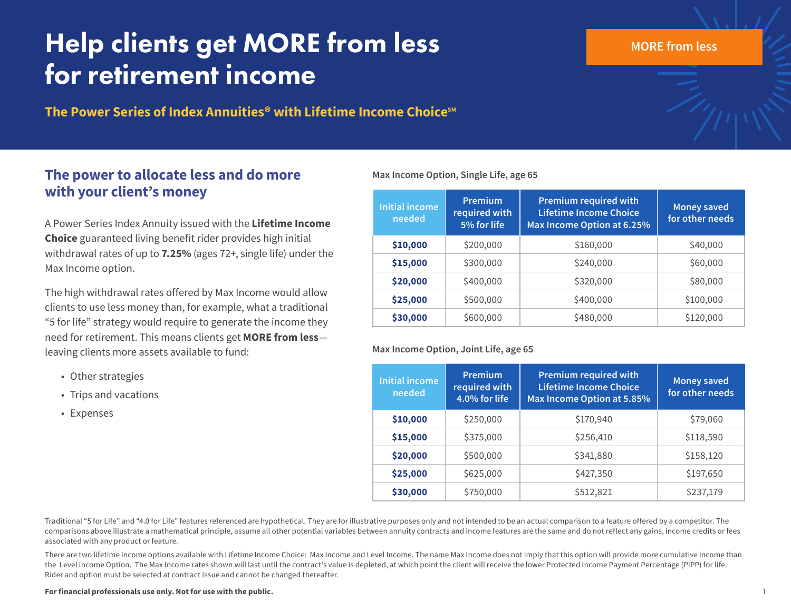# Help clients get MORE from less for retirement income

**The Power Series of Index Annuities® with Lifetime Income Choice<sup>SM</sup>** 

# **The power to allocate less and do more with your client's money**

A Power Series Index Annuity issued with the **Lifetime Income Choice** guaranteed living benefit rider provides high initial withdrawal rates of up to **7.25%** (ages 72+, single life) under the Max Income option.

The high withdrawal rates offered by Max Income would allow clients to use less money than, for example, what a traditional "5 for life" strategy would require to generate the income they need for retirement. This means clients get **MORE from less** leaving clients more assets available to fund:

- Other strategies
- Trips and vacations
- Expenses

## **Max Income Option, Single Life, age 65**

| <b>Initial income</b><br>needed | <b>Premium</b><br>required with<br>5% for life | <b>Premium required with</b><br>Lifetime Income Choice<br>Max Income Option at 6.25% | <b>Money saved</b><br>for other needs |  |
|---------------------------------|------------------------------------------------|--------------------------------------------------------------------------------------|---------------------------------------|--|
| \$10,000                        | \$200,000                                      | \$160,000                                                                            | \$40,000                              |  |
| \$15,000                        | \$300,000                                      | \$240,000                                                                            | \$60,000                              |  |
| \$20,000                        | \$400,000                                      | \$320,000                                                                            | \$80,000                              |  |
| \$25,000                        | \$500,000                                      | \$400,000                                                                            | \$100,000                             |  |
| \$30,000                        | \$600,000                                      | \$480,000                                                                            | \$120,000                             |  |

#### **Max Income Option, Joint Life, age 65**

| <b>Initial income</b><br>needed | <b>Premium</b><br>required with<br>4.0% for life | <b>Premium required with</b><br>Lifetime Income Choice<br>Max Income Option at 5.85% | <b>Money saved</b><br>for other needs |  |
|---------------------------------|--------------------------------------------------|--------------------------------------------------------------------------------------|---------------------------------------|--|
| \$10,000                        | \$250,000                                        | \$170,940                                                                            | \$79,060                              |  |
| \$15,000                        | \$375,000                                        | \$256,410                                                                            | \$118,590                             |  |
| \$20,000                        | \$500,000                                        | \$341,880                                                                            | \$158,120                             |  |
| \$25,000                        | \$625,000                                        | \$427,350                                                                            | \$197,650                             |  |
| \$30,000                        | \$750,000                                        | \$512,821                                                                            | \$237,179                             |  |

Traditional "5 for Life" and "4.0 for Life" features referenced are hypothetical. They are for illustrative purposes only and not intended to be an actual comparison to a feature offered by a competitor. The comparisons above illustrate a mathematical principle, assume all other potential variables between annuity contracts and income features are the same and do not reflect any gains, income credits or fees associated with any product or feature.

There are two lifetime income options available with Lifetime Income Choice: Max Income and Level Income. The name Max Income does not imply that this option will provide more cumulative income than the Level Income Option. The Max Income rates shown will last until the contract's value is depleted, at which point the client will receive the lower Protected Income Payment Percentage (PIPP) for life. Rider and option must be selected at contract issue and cannot be changed thereafter.

#### **For financial professionals use only. Not for use with the public.** 1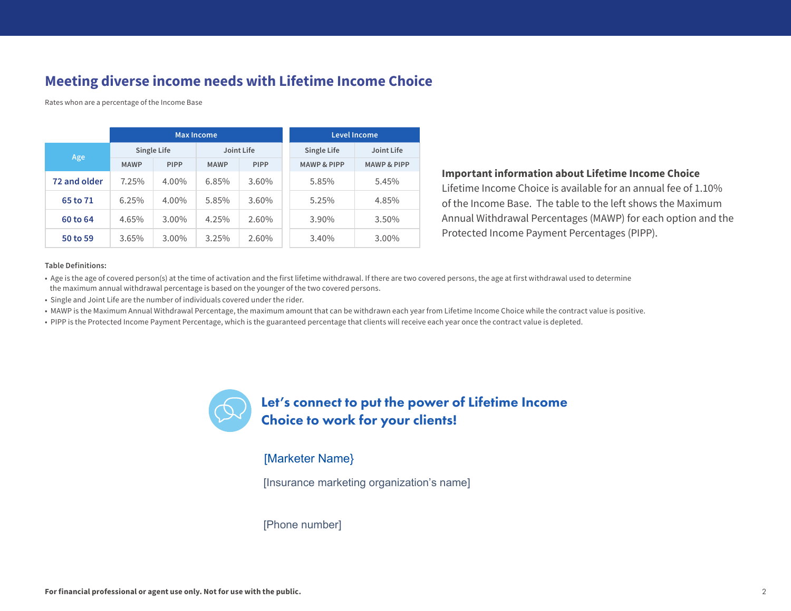# **Meeting diverse income needs with Lifetime Income Choice**

Rates whon are a percentage of the Income Base

|              | <b>Max Income</b> |             |             |             | <b>Level Income</b>    |                        |  |
|--------------|-------------------|-------------|-------------|-------------|------------------------|------------------------|--|
| Age          | Single Life       |             | Joint Life  |             | <b>Single Life</b>     | Joint Life             |  |
|              | <b>MAWP</b>       | <b>PIPP</b> | <b>MAWP</b> | <b>PIPP</b> | <b>MAWP &amp; PIPP</b> | <b>MAWP &amp; PIPP</b> |  |
| 72 and older | 7.25%             | 4.00%       | 6.85%       | $3.60\%$    | 5.85%                  | 5.45%                  |  |
| 65 to 71     | 6.25%             | 4.00%       | 5.85%       | 3.60%       | 5.25%                  | 4.85%                  |  |
| 60 to 64     | 4.65%             | $3.00\%$    | 4.25%       | 2.60%       | 3.90%                  | 3.50%                  |  |
| 50 to 59     | 3.65%             | 3.00%       | 3.25%       | 2.60%       | 3.40%                  | 3.00%                  |  |

## **Important information about Lifetime Income Choice**

Lifetime Income Choice is available for an annual fee of 1.10% of the Income Base. The table to the left shows the Maximum Annual Withdrawal Percentages (MAWP) for each option and the Protected Income Payment Percentages (PIPP).

#### **Table Definitions:**

• Age is the age of covered person(s) at the time of activation and the first lifetime withdrawal. If there are two covered persons, the age at first withdrawal used to determine the maximum annual withdrawal percentage is based on the younger of the two covered persons.

• Single and Joint Life are the number of individuals covered under the rider.

• MAWP is the Maximum Annual Withdrawal Percentage, the maximum amount that can be withdrawn each year from Lifetime Income Choice while the contract value is positive.

• PIPP is the Protected Income Payment Percentage, which is the guaranteed percentage that clients will receive each year once the contract value is depleted.



## Let's connect to put the power of Lifetime Income Choice to work for your clients!

### **[Name]** [Marketer Name}

[Insurance marketing organization's name]<br>
[Phone number]